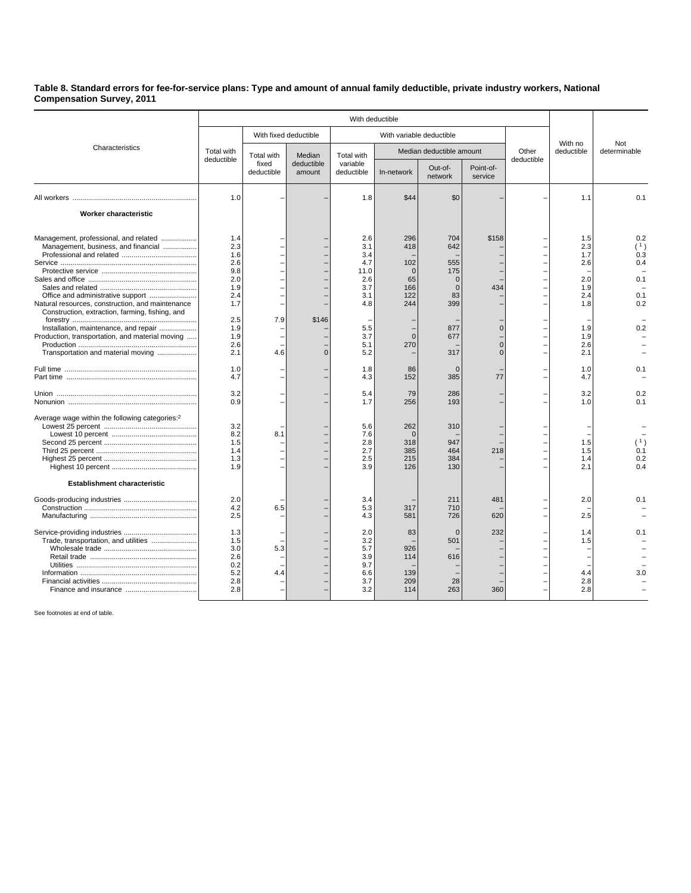## **Table 8. Standard errors for fee-for-service plans: Type and amount of annual family deductible, private industry workers, National Compensation Survey, 2011**

|                                                                              | With deductible          |                                   |                                |                                             |                          |                    |                            |            |                       |                     |
|------------------------------------------------------------------------------|--------------------------|-----------------------------------|--------------------------------|---------------------------------------------|--------------------------|--------------------|----------------------------|------------|-----------------------|---------------------|
| Characteristics                                                              |                          | With fixed deductible             |                                | With variable deductible                    |                          |                    |                            |            |                       |                     |
|                                                                              | Total with<br>deductible | Total with<br>fixed<br>deductible | Median<br>deductible<br>amount | <b>Total with</b><br>variable<br>deductible | Median deductible amount |                    |                            | Other      | With no<br>deductible | Not<br>determinable |
|                                                                              |                          |                                   |                                |                                             | In-network               | Out-of-<br>network | Point-of-<br>service       | deductible |                       |                     |
|                                                                              | 1.0                      |                                   |                                | 1.8                                         | \$44                     | \$0                |                            |            | 1.1                   | 0.1                 |
| Worker characteristic                                                        |                          |                                   |                                |                                             |                          |                    |                            |            |                       |                     |
| Management, professional, and related<br>Management, business, and financial | 1.4<br>2.3               |                                   |                                | 2.6<br>3.1                                  | 296<br>418               | 704<br>642         | \$158                      |            | 1.5<br>2.3            | 0.2<br>(1)          |
|                                                                              | 1.6                      |                                   |                                | 3.4                                         |                          |                    |                            |            | 1.7                   | 0.3                 |
|                                                                              | 2.6                      |                                   |                                | 4.7                                         | 102                      | 555                |                            |            | 2.6                   | 0.4                 |
|                                                                              | 9.8                      |                                   |                                | 11.0                                        | $\Omega$                 | 175                |                            |            |                       |                     |
|                                                                              | 2.0                      |                                   |                                | 2.6                                         | 65                       | $\Omega$           |                            |            | 2.0                   | 0.1                 |
|                                                                              | 1.9                      |                                   |                                | 3.7                                         | 166                      | $\Omega$           | 434                        |            | 1.9                   |                     |
| Office and administrative support                                            | 2.4                      |                                   |                                | 3.1                                         | 122                      | 83                 |                            |            | 2.4                   | 0.1                 |
| Natural resources, construction, and maintenance                             | 1.7                      |                                   |                                | 4.8                                         | 244                      | 399                |                            |            | 1.8                   | 0.2                 |
| Construction, extraction, farming, fishing, and                              |                          |                                   |                                |                                             |                          |                    |                            |            |                       |                     |
|                                                                              | 2.5                      | 7.9                               | \$146                          |                                             |                          |                    |                            |            |                       |                     |
| Installation, maintenance, and repair                                        | 1.9                      |                                   |                                | 5.5                                         |                          | 877                | $\overline{0}$             |            | 1.9                   | 0.2                 |
| Production, transportation, and material moving                              | 1.9                      |                                   |                                | 3.7                                         | $\Omega$                 | 677                |                            |            | 1.9                   |                     |
| Transportation and material moving                                           | 2.6<br>2.1               | 4.6                               | $\Omega$                       | 5.1<br>5.2                                  | 270                      | 317                | $\overline{0}$<br>$\Omega$ |            | 2.6<br>2.1            |                     |
|                                                                              | 1.0                      |                                   |                                | 1.8                                         | 86                       | $\Omega$           |                            |            | 1.0                   | 0.1                 |
|                                                                              | 4.7                      |                                   |                                | 4.3                                         | 152                      | 385                | 77                         |            | 4.7                   |                     |
|                                                                              | 3.2                      |                                   |                                | 5.4                                         | 79                       | 286                |                            |            | 3.2                   | 0.2                 |
|                                                                              | 0.9                      |                                   |                                | 1.7                                         | 256                      | 193                |                            |            | 1.0                   | 0.1                 |
|                                                                              |                          |                                   |                                |                                             |                          |                    |                            |            |                       |                     |
| Average wage within the following categories: <sup>2</sup>                   |                          |                                   |                                |                                             |                          |                    |                            |            |                       |                     |
|                                                                              | 3.2<br>8.2               | 8.1                               |                                | 5.6<br>7.6                                  | 262<br>$\Omega$          | 310                |                            |            |                       |                     |
|                                                                              | 1.5                      |                                   |                                | 2.8                                         | 318                      | 947                |                            |            | 1.5                   | (1)                 |
|                                                                              | 1.4                      |                                   |                                | 2.7                                         | 385                      | 464                | 218                        |            | 1.5                   | 0.1                 |
|                                                                              | 1.3                      |                                   |                                | 2.5                                         | 215                      | 384                |                            |            | 1.4                   | 0.2                 |
|                                                                              | 1.9                      |                                   |                                | 3.9                                         | 126                      | 130                |                            |            | 2.1                   | 0.4                 |
| <b>Establishment characteristic</b>                                          |                          |                                   |                                |                                             |                          |                    |                            |            |                       |                     |
|                                                                              | 2.0                      |                                   |                                | 3.4                                         |                          | 211                | 481                        |            | 2.0                   | 0.1                 |
|                                                                              | 4.2                      | 6.5                               |                                | 5.3                                         | 317                      | 710                |                            |            |                       |                     |
|                                                                              | 2.5                      |                                   |                                | 4.3                                         | 581                      | 726                | 620                        |            | 2.5                   |                     |
|                                                                              |                          |                                   |                                |                                             |                          |                    |                            |            |                       |                     |
|                                                                              | 1.3                      |                                   |                                | 2.0                                         | 83                       | $\Omega$           | 232                        |            | 1.4                   | 0.1                 |
| Trade, transportation, and utilities                                         | 1.5                      |                                   |                                | 3.2                                         |                          | 501                |                            |            | 1.5                   |                     |
|                                                                              | 3.0                      | 5.3                               |                                | 5.7                                         | 926                      |                    |                            |            |                       |                     |
|                                                                              | 2.6                      |                                   |                                | 3.9                                         | 114                      | 616                |                            |            |                       |                     |
|                                                                              | 0.2                      |                                   |                                | 9.7                                         |                          |                    |                            |            |                       |                     |
|                                                                              | 5.2                      | 4.4                               |                                | 6.6                                         | 139                      |                    |                            |            | 4.4                   |                     |
|                                                                              | 2.8                      |                                   |                                | 3.7                                         | 209                      | 28                 |                            |            | 2.8                   |                     |
|                                                                              | 2.8                      |                                   |                                | 3.2                                         | 114                      | 263                | 360                        |            | 2.8                   |                     |
|                                                                              |                          |                                   |                                |                                             |                          |                    |                            |            |                       |                     |

See footnotes at end of table.